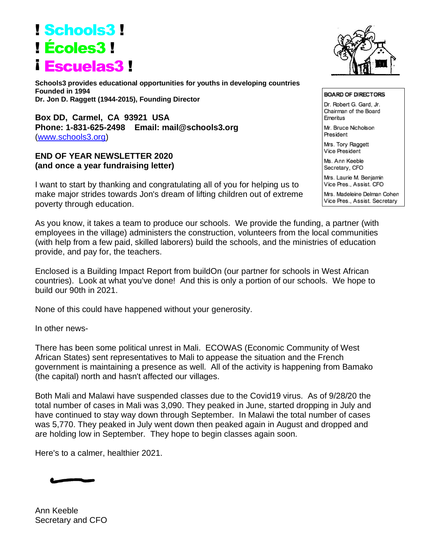## ! Schools3 ! ! Écoles3 ! ¡ Escuelas3 !

**Schools3 provides educational opportunities for youths in developing countries Founded in 1994 Dr. Jon D. Raggett (1944-2015), Founding Director**

**Box DD, Carmel, CA 93921 USA Phone: 1-831-625-2498 Email: mail@schools3.org**  [\(www.schools3.org\)](http://www.schools3.org/)

## **END OF YEAR NEWSLETTER 2020 (and once a year fundraising letter)**

I want to start by thanking and congratulating all of you for helping us to make major strides towards Jon's dream of lifting children out of extreme poverty through education.

As you know, it takes a team to produce our schools. We provide the funding, a partner (with employees in the village) administers the construction, volunteers from the local communities (with help from a few paid, skilled laborers) build the schools, and the ministries of education provide, and pay for, the teachers.

Enclosed is a Building Impact Report from buildOn (our partner for schools in West African countries). Look at what you've done! And this is only a portion of our schools. We hope to build our 90th in 2021.

None of this could have happened without your generosity.

In other news-

There has been some political unrest in Mali. ECOWAS (Economic Community of West African States) sent representatives to Mali to appease the situation and the French government is maintaining a presence as well. All of the activity is happening from Bamako (the capital) north and hasn't affected our villages.

Both Mali and Malawi have suspended classes due to the Covid19 virus. As of 9/28/20 the total number of cases in Mali was 3,090. They peaked in June, started dropping in July and have continued to stay way down through September. In Malawi the total number of cases was 5,770. They peaked in July went down then peaked again in August and dropped and are holding low in September. They hope to begin classes again soon.

Here's to a calmer, healthier 2021.

Ann Keeble Secretary and CFO



**BOARD OF DIRECTORS** Dr. Robert G. Gard, Jr. Chairman of the Board Emeritus Mr. Bruce Nicholson President Mrs. Tory Raggett

Vice President

Ms. Ann Keeble Secretary, CFO

Mrs. Laurie M. Benjamin Vice Pres., Assist. CFO

Mrs. Madeleine Delman Cohen Vice Pres., Assist. Secretary